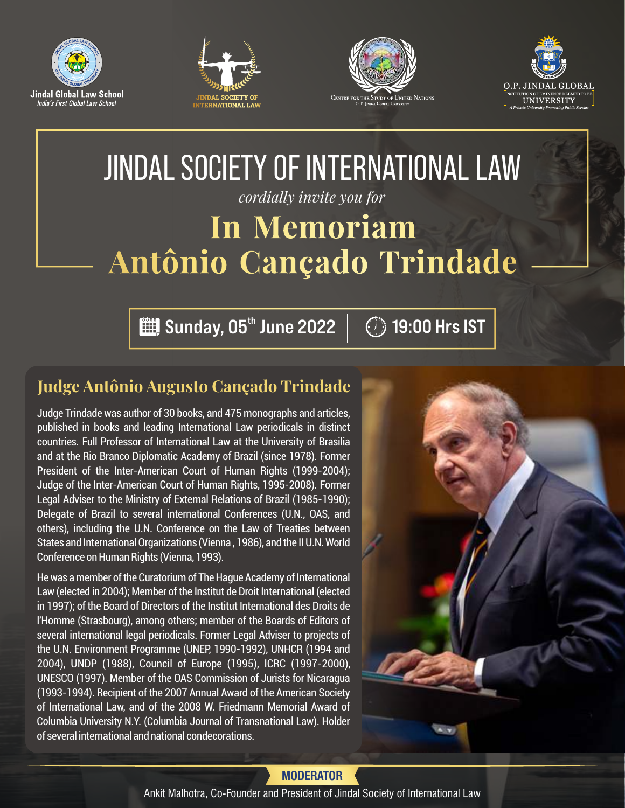







# JINDAL SOCIETY OF INTERNATIONAL LAW *cordially invite you for*  **In Memoriam Antônio Cançado Trindade**

 $\lim_{h\to 0}$  Sunday,  $\overline{05}^{\text{th}}$  June 2022  $\mid\;\;\mathbb{C}\rangle$  19:00 Hrs IST

## **Judge Antônio Augusto Cançado Trindade**

Judge Trindade was author of 30 books, and 475 monographs and articles, published in books and leading International Law periodicals in distinct countries. Full Professor of International Law at the University of Brasilia and at the Rio Branco Diplomatic Academy of Brazil (since 1978). Former President of the Inter-American Court of Human Rights (1999-2004); Judge of the Inter-American Court of Human Rights, 1995-2008). Former Legal Adviser to the Ministry of External Relations of Brazil (1985-1990); Delegate of Brazil to several international Conferences (U.N., OAS, and others), including the U.N. Conference on the Law of Treaties between States and International Organizations (Vienna , 1986), and the II U.N. World Conference on Human Rights (Vienna, 1993).

He was a member of the Curatorium of The Hague Academy of International Law (elected in 2004); Member of the Institut de Droit International (elected in 1997); of the Board of Directors of the Institut International des Droits de l'Homme (Strasbourg), among others; member of the Boards of Editors of several international legal periodicals. Former Legal Adviser to projects of the U.N. Environment Programme (UNEP, 1990-1992), UNHCR (1994 and 2004), UNDP (1988), Council of Europe (1995), ICRC (1997-2000), UNESCO (1997). Member of the OAS Commission of Jurists for Nicaragua (1993-1994). Recipient of the 2007 Annual Award of the American Society of International Law, and of the 2008 W. Friedmann Memorial Award of Columbia University N.Y. (Columbia Journal of Transnational Law). Holder of several international and national condecorations.



**MODERATOR**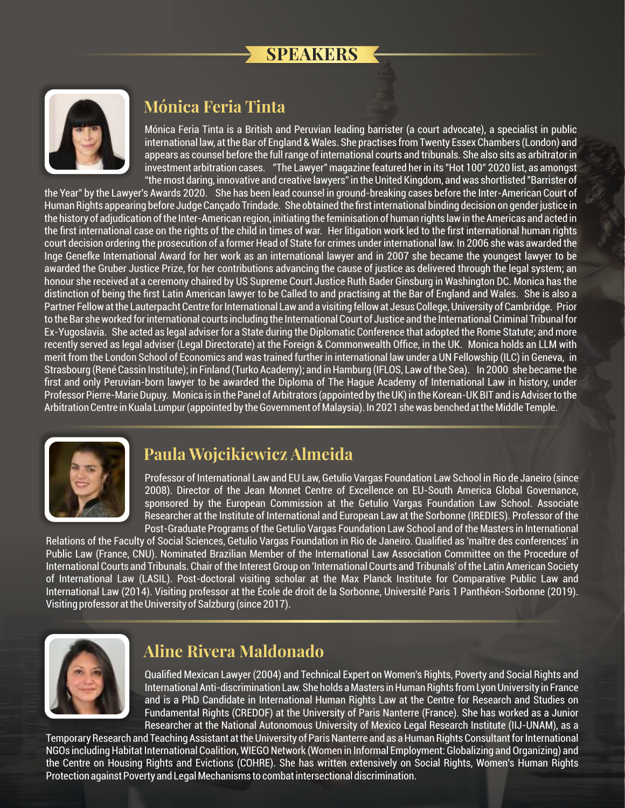## **SPEAKERS**



#### **Mónica Feria Tinta**

Mónica Feria Tinta is a British and Peruvian leading barrister (a court advocate), a specialist in public international law, at the Bar of England & Wales. She practises from Twenty Essex Chambers (London) and appears as counsel before the full range of international courts and tribunals. She also sits as arbitrator in investment arbitration cases. "The Lawyer" magazine featured her in its "Hot 100" 2020 list, as amongst "the most daring, innovative and creative lawyers" in the United Kingdom, and was shortlisted "Barrister of

the Year" by the Lawyer's Awards 2020. She has been lead counsel in ground-breaking cases before the Inter-American Court of Human Rights appearing before Judge Cançado Trindade. She obtained the first international binding decision on gender justice in the history of adjudication of the Inter-American region, initiating the feminisation of human rights law in the Americas and acted in the first international case on the rights of the child in times of war. Her litigation work led to the first international human rights court decision ordering the prosecution of a former Head of State for crimes under international law. In 2006 she was awarded the Inge Genefke International Award for her work as an international lawyer and in 2007 she became the youngest lawyer to be awarded the Gruber Justice Prize, for her contributions advancing the cause of justice as delivered through the legal system; an honour she received at a ceremony chaired by US Supreme Court Justice Ruth Bader Ginsburg in Washington DC. Monica has the distinction of being the first Latin American lawyer to be Called to and practising at the Bar of England and Wales. She is also a Partner Fellow at the Lauterpacht Centre for International Law and a visiting fellow at Jesus College, University of Cambridge. Prior to the Bar she worked for international courts including the International Court of Justice and the International Criminal Tribunal for Ex-Yugoslavia. She acted as legal adviser for a State during the Diplomatic Conference that adopted the Rome Statute; and more recently served as legal adviser (Legal Directorate) at the Foreign & Commonwealth Office, in the UK. Monica holds an LLM with merit from the London School of Economics and was trained further in international law under a UN Fellowship (ILC) in Geneva, in Strasbourg (René Cassin Institute); in Finland (Turko Academy); and in Hamburg (IFLOS, Law of the Sea). In 2000 she became the first and only Peruvian-born lawyer to be awarded the Diploma of The Hague Academy of International Law in history, under Professor Pierre-Marie Dupuy. Monica is in the Panel of Arbitrators (appointed by the UK) in the Korean-UK BIT and is Adviser to the Arbitration Centre in Kuala Lumpur (appointed by the Government of Malaysia). In 2021 she was benched at the Middle Temple.



## **Paula Wojcikiewicz Almeida**

Professor of International Law and EU Law, Getulio Vargas Foundation Law School in Rio de Janeiro (since 2008). Director of the Jean Monnet Centre of Excellence on EU-South America Global Governance, sponsored by the European Commission at the Getulio Vargas Foundation Law School. Associate Researcher at the Institute of International and European Law at the Sorbonne (IREDIES). Professor of the Post-Graduate Programs of the Getulio Vargas Foundation Law School and of the Masters in International

Relations of the Faculty of Social Sciences, Getulio Vargas Foundation in Rio de Janeiro. Qualified as 'maître des conferences' in Public Law (France, CNU). Nominated Brazilian Member of the International Law Association Committee on the Procedure of International Courts and Tribunals. Chair of the Interest Group on 'International Courts and Tribunals' of the Latin American Society of International Law (LASIL). Post-doctoral visiting scholar at the Max Planck Institute for Comparative Public Law and International Law (2014). Visiting professor at the École de droit de la Sorbonne, Université Paris 1 Panthéon-Sorbonne (2019). Visiting professor at the University of Salzburg (since 2017).



## **Aline Rivera Maldonado**

Qualified Mexican Lawyer (2004) and Technical Expert on Women's Rights, Poverty and Social Rights and International Anti-discrimination Law. She holds a Masters in Human Rights from Lyon University in France and is a PhD Candidate in International Human Rights Law at the Centre for Research and Studies on Fundamental Rights (CREDOF) at the University of Paris Nanterre (France). She has worked as a Junior Researcher at the National Autonomous University of Mexico Legal Research Institute (IIJ-UNAM), as a

Temporary Research and Teaching Assistant at the University of Paris Nanterre and as a Human Rights Consultant for International NGOs including Habitat International Coalition, WIEGO Network (Women in Informal Employment: Globalizing and Organizing) and the Centre on Housing Rights and Evictions (COHRE). She has written extensively on Social Rights, Women's Human Rights Protection against Poverty and Legal Mechanisms to combat intersectional discrimination.